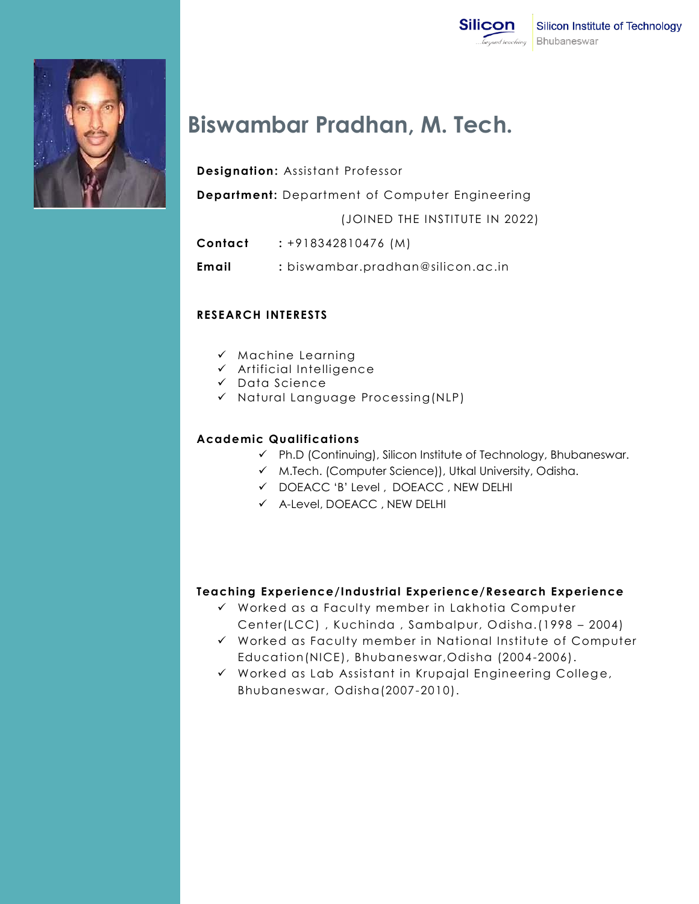



# **Biswambar Pradhan, M. Tech.**

**Designation:** Assistant Professor

**Department:** Department of Computer Engineering

(JOINED THE INSTITUTE IN 2022)

**Contact :** +918342810476 (M)

**Email :** biswambar.pradhan@silicon.ac.in

## **RESEARCH INTERESTS**

- $\checkmark$  Machine Learning
- $\checkmark$  Artificial Intelligence
- $\checkmark$  Data Science
- $\checkmark$  Natural Language Processing (NLP)

#### **Academic Qualifications**

- $\checkmark$  Ph.D (Continuing), Silicon Institute of Technology, Bhubaneswar.
- M.Tech. (Computer Science)), Utkal University, Odisha.
- DOEACC 'B' Level , DOEACC , NEW DELHI
- A-Level, DOEACC , NEW DELHI

## **Teaching Experience/Industrial Experience/Research Experience**

- $\checkmark$  Worked as a Faculty member in Lakhotia Computer Center(LCC) , Kuchinda , Sambalpur, Odisha.(1998 – 2004)
- $\checkmark$  Worked as Faculty member in National Institute of Computer Education(NICE), Bhubaneswar,Odisha (2004 -2006).
- $\checkmark$  Worked as Lab Assistant in Krupajal Engineering College, Bhubaneswar, Odisha(2007-2010).